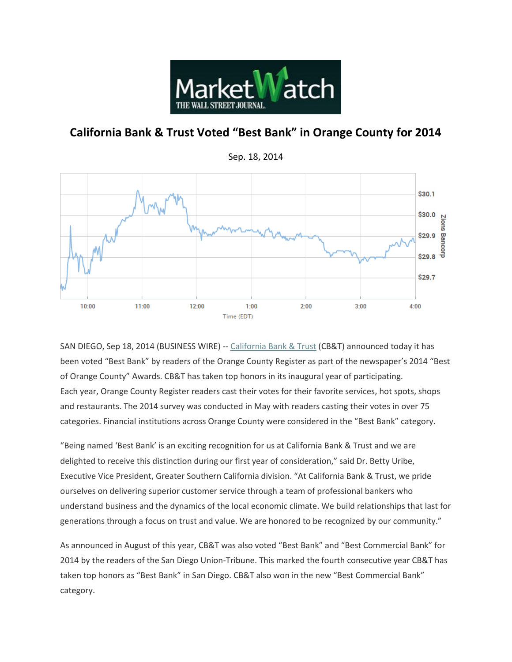

## **California Bank & Trust Voted "Best Bank" in Orange County for 2014**



SAN DIEGO, Sep 18, 2014 (BUSINESS WIRE) -- [California Bank & Trust](http://cts.businesswire.com/ct/CT?id=smartlink&url=http%3A%2F%2Fwww.calbanktrust.com%2F&esheet=50945954&newsitemid=20140918006371&lan=en-US&anchor=California+Bank+%26+Trust&index=1&md5=81ec5a558b3d8335bbc6468c1ce5887b) (CB&T) announced today it has been voted "Best Bank" by readers of the Orange County Register as part of the newspaper's 2014 "Best of Orange County" Awards. CB&T has taken top honors in its inaugural year of participating. Each year, Orange County Register readers cast their votes for their favorite services, hot spots, shops and restaurants. The 2014 survey was conducted in May with readers casting their votes in over 75 categories. Financial institutions across Orange County were considered in the "Best Bank" category.

"Being named 'Best Bank' is an exciting recognition for us at California Bank & Trust and we are delighted to receive this distinction during our first year of consideration," said Dr. Betty Uribe, Executive Vice President, Greater Southern California division. "At California Bank & Trust, we pride ourselves on delivering superior customer service through a team of professional bankers who understand business and the dynamics of the local economic climate. We build relationships that last for generations through a focus on trust and value. We are honored to be recognized by our community."

As announced in August of this year, CB&T was also voted "Best Bank" and "Best Commercial Bank" for 2014 by the readers of the San Diego Union-Tribune. This marked the fourth consecutive year CB&T has taken top honors as "Best Bank" in San Diego. CB&T also won in the new "Best Commercial Bank" category.